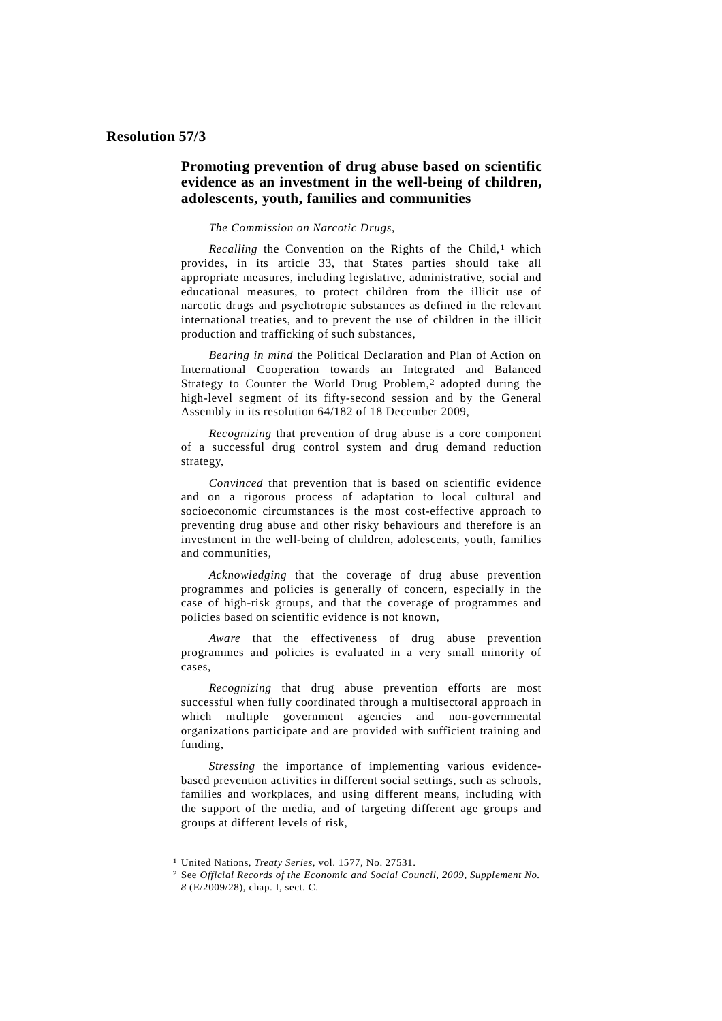## **Resolution 57/3**

## **Promoting prevention of drug abuse based on scientific evidence as an investment in the well-being of children, adolescents, youth, families and communities**

## *The Commission on Narcotic Drugs*,

Recalling the Convention on the Rights of the Child,<sup>1</sup> which provides, in its article 33, that States parties should take all appropriate measures, including legislative, administrative, social and educational measures, to protect children from the illicit use of narcotic drugs and psychotropic substances as defined in the relevant international treaties, and to prevent the use of children in the illicit production and trafficking of such substances,

*Bearing in mind* the Political Declaration and Plan of Action on International Cooperation towards an Integrated and Balanced Strategy to Counter the World Drug Problem,<sup>2</sup> adopted during the high-level segment of its fifty-second session and by the General Assembly in its resolution 64/182 of 18 December 2009,

*Recognizing* that prevention of drug abuse is a core component of a successful drug control system and drug demand reduction strategy,

*Convinced* that prevention that is based on scientific evidence and on a rigorous process of adaptation to local cultural and socioeconomic circumstances is the most cost-effective approach to preventing drug abuse and other risky behaviours and therefore is an investment in the well-being of children, adolescents, youth, families and communities,

*Acknowledging* that the coverage of drug abuse prevention programmes and policies is generally of concern, especially in the case of high-risk groups, and that the coverage of programmes and policies based on scientific evidence is not known,

*Aware* that the effectiveness of drug abuse prevention programmes and policies is evaluated in a very small minority of cases,

*Recognizing* that drug abuse prevention efforts are most successful when fully coordinated through a multisectoral approach in which multiple government agencies and non-governmental organizations participate and are provided with sufficient training and funding,

*Stressing* the importance of implementing various evidencebased prevention activities in different social settings, such as schools, families and workplaces, and using different means, including with the support of the media, and of targeting different age groups and groups at different levels of risk,

-

<sup>1</sup> United Nations, *Treaty Series*, vol. 1577, No. 27531.

<sup>2</sup> See *Official Records of the Economic and Social Council, 2009, Supplement No. 8* (E/2009/28), chap. I, sect. C.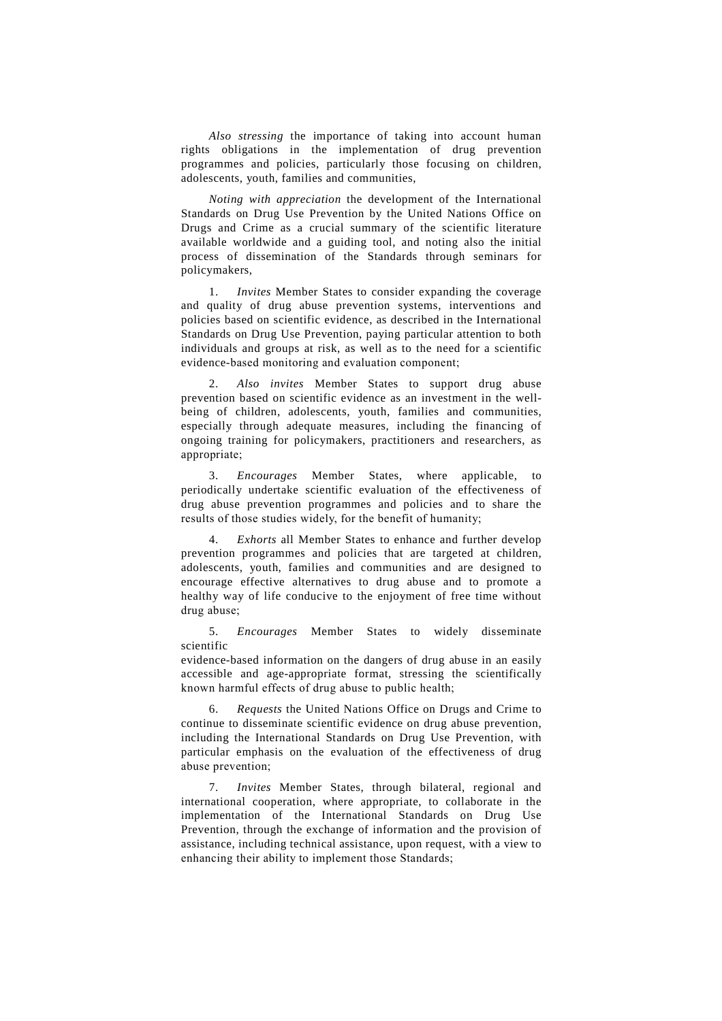*Also stressing* the importance of taking into account human rights obligations in the implementation of drug prevention programmes and policies, particularly those focusing on children, adolescents, youth, families and communities,

*Noting with appreciation* the development of the International Standards on Drug Use Prevention by the United Nations Office on Drugs and Crime as a crucial summary of the scientific literature available worldwide and a guiding tool, and noting also the initial process of dissemination of the Standards through seminars for policymakers,

 1. *Invites* Member States to consider expanding the coverage and quality of drug abuse prevention systems, interventions and policies based on scientific evidence, as described in the International Standards on Drug Use Prevention, paying particular attention to both individuals and groups at risk, as well as to the need for a scientific evidence-based monitoring and evaluation component;

 2. *Also invites* Member States to support drug abuse prevention based on scientific evidence as an investment in the wellbeing of children, adolescents, youth, families and communities, especially through adequate measures, including the financing of ongoing training for policymakers, practitioners and researchers, as appropriate;

 3. *Encourages* Member States, where applicable, to periodically undertake scientific evaluation of the effectiveness of drug abuse prevention programmes and policies and to share the results of those studies widely, for the benefit of humanity;

 4. *Exhorts* all Member States to enhance and further develop prevention programmes and policies that are targeted at children, adolescents, youth, families and communities and are designed to encourage effective alternatives to drug abuse and to promote a healthy way of life conducive to the enjoyment of free time without drug abuse;

 5. *Encourages* Member States to widely disseminate scientific

evidence-based information on the dangers of drug abuse in an easily accessible and age-appropriate format, stressing the scientifically known harmful effects of drug abuse to public health;

 6. *Requests* the United Nations Office on Drugs and Crime to continue to disseminate scientific evidence on drug abuse prevention, including the International Standards on Drug Use Prevention, with particular emphasis on the evaluation of the effectiveness of drug abuse prevention;

 7. *Invites* Member States, through bilateral, regional and international cooperation, where appropriate, to collaborate in the implementation of the International Standards on Drug Use Prevention, through the exchange of information and the provision of assistance, including technical assistance, upon request, with a view to enhancing their ability to implement those Standards;